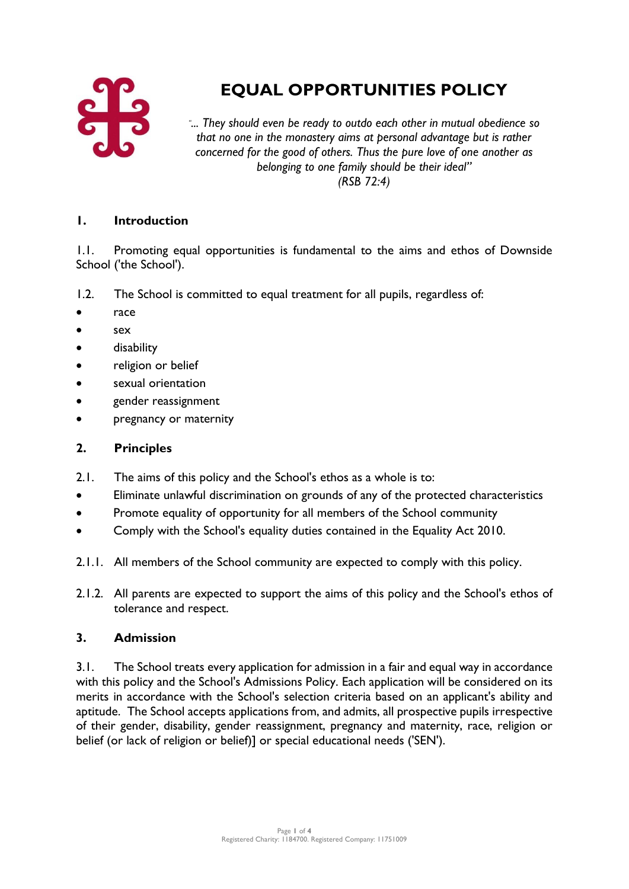

# **EQUAL OPPORTUNITIES POLICY**

*" ... They should even be ready to outdo each other in mutual obedience so that no one in the monastery aims at personal advantage but is rather concerned for the good of others. Thus the pure love of one another as belonging to one family should be their ideal" (RSB 72:4)*

#### **1. Introduction**

1.1. Promoting equal opportunities is fundamental to the aims and ethos of Downside School ('the School').

- 1.2. The School is committed to equal treatment for all pupils, regardless of:
- race
- sex
- disability
- religion or belief
- sexual orientation
- gender reassignment
- pregnancy or maternity

#### **2. Principles**

- 2.1. The aims of this policy and the School's ethos as a whole is to:
- Eliminate unlawful discrimination on grounds of any of the protected characteristics
- Promote equality of opportunity for all members of the School community
- Comply with the School's equality duties contained in the Equality Act 2010.
- 2.1.1. All members of the School community are expected to comply with this policy.
- 2.1.2. All parents are expected to support the aims of this policy and the School's ethos of tolerance and respect.

#### **3. Admission**

3.1. The School treats every application for admission in a fair and equal way in accordance with this policy and the School's Admissions Policy. Each application will be considered on its merits in accordance with the School's selection criteria based on an applicant's ability and aptitude. The School accepts applications from, and admits, all prospective pupils irrespective of their gender, disability, gender reassignment, pregnancy and maternity, race, religion or belief (or lack of religion or belief)] or special educational needs ('SEN').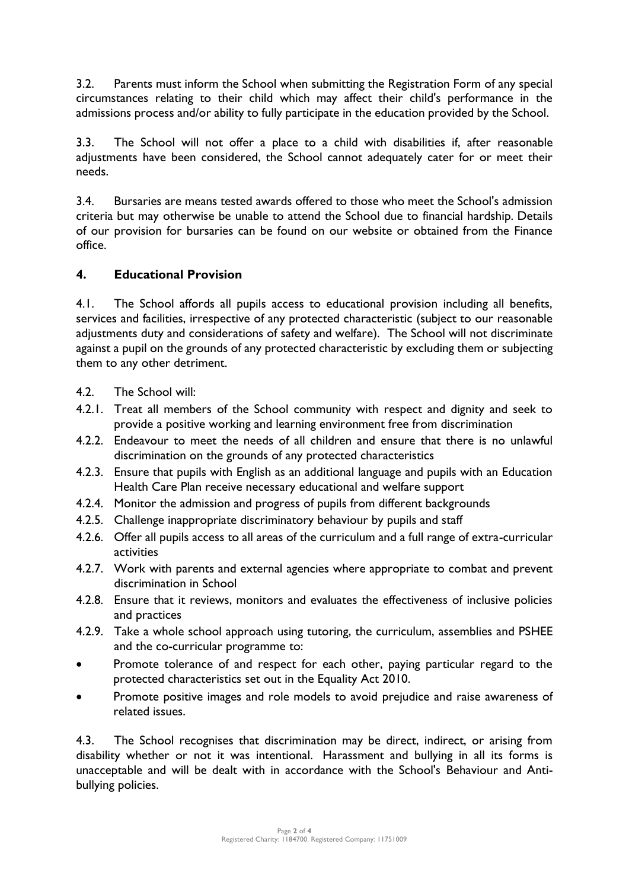3.2. Parents must inform the School when submitting the Registration Form of any special circumstances relating to their child which may affect their child's performance in the admissions process and/or ability to fully participate in the education provided by the School.

3.3. The School will not offer a place to a child with disabilities if, after reasonable adjustments have been considered, the School cannot adequately cater for or meet their needs.

3.4. Bursaries are means tested awards offered to those who meet the School's admission criteria but may otherwise be unable to attend the School due to financial hardship. Details of our provision for bursaries can be found on our website or obtained from the Finance office.

# **4. Educational Provision**

4.1. The School affords all pupils access to educational provision including all benefits, services and facilities, irrespective of any protected characteristic (subject to our reasonable adjustments duty and considerations of safety and welfare). The School will not discriminate against a pupil on the grounds of any protected characteristic by excluding them or subjecting them to any other detriment.

- 4.2. The School will:
- 4.2.1. Treat all members of the School community with respect and dignity and seek to provide a positive working and learning environment free from discrimination
- 4.2.2. Endeavour to meet the needs of all children and ensure that there is no unlawful discrimination on the grounds of any protected characteristics
- 4.2.3. Ensure that pupils with English as an additional language and pupils with an Education Health Care Plan receive necessary educational and welfare support
- 4.2.4. Monitor the admission and progress of pupils from different backgrounds
- 4.2.5. Challenge inappropriate discriminatory behaviour by pupils and staff
- 4.2.6. Offer all pupils access to all areas of the curriculum and a full range of extra-curricular activities
- 4.2.7. Work with parents and external agencies where appropriate to combat and prevent discrimination in School
- 4.2.8. Ensure that it reviews, monitors and evaluates the effectiveness of inclusive policies and practices
- 4.2.9. Take a whole school approach using tutoring, the curriculum, assemblies and PSHEE and the co-curricular programme to:
- Promote tolerance of and respect for each other, paying particular regard to the protected characteristics set out in the Equality Act 2010.
- Promote positive images and role models to avoid prejudice and raise awareness of related issues.

4.3. The School recognises that discrimination may be direct, indirect, or arising from disability whether or not it was intentional. Harassment and bullying in all its forms is unacceptable and will be dealt with in accordance with the School's Behaviour and Antibullying policies.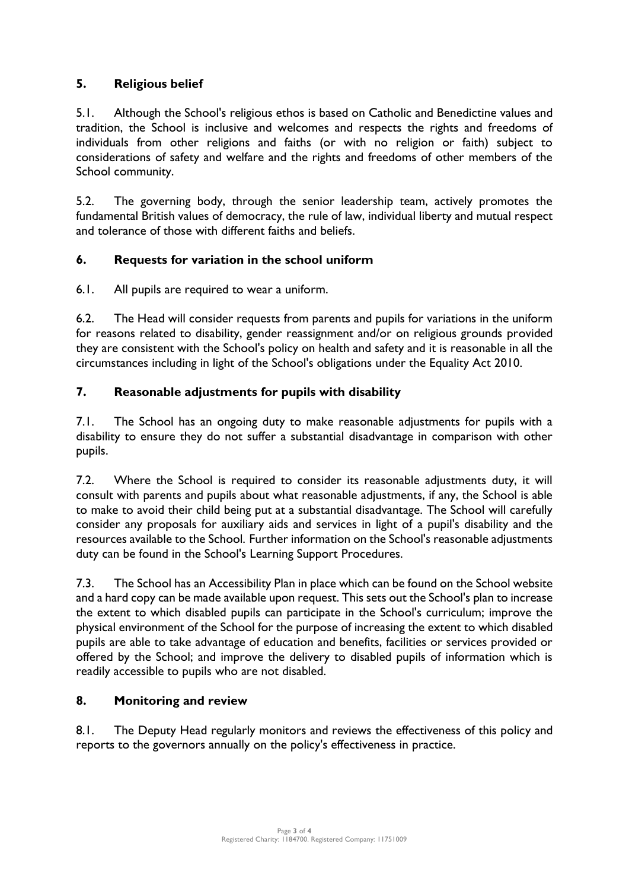# **5. Religious belief**

5.1. Although the School's religious ethos is based on Catholic and Benedictine values and tradition, the School is inclusive and welcomes and respects the rights and freedoms of individuals from other religions and faiths (or with no religion or faith) subject to considerations of safety and welfare and the rights and freedoms of other members of the School community.

5.2. The governing body, through the senior leadership team, actively promotes the fundamental British values of democracy, the rule of law, individual liberty and mutual respect and tolerance of those with different faiths and beliefs.

#### **6. Requests for variation in the school uniform**

6.1. All pupils are required to wear a uniform.

6.2. The Head will consider requests from parents and pupils for variations in the uniform for reasons related to disability, gender reassignment and/or on religious grounds provided they are consistent with the School's policy on health and safety and it is reasonable in all the circumstances including in light of the School's obligations under the Equality Act 2010.

# **7. Reasonable adjustments for pupils with disability**

7.1. The School has an ongoing duty to make reasonable adjustments for pupils with a disability to ensure they do not suffer a substantial disadvantage in comparison with other pupils.

7.2. Where the School is required to consider its reasonable adjustments duty, it will consult with parents and pupils about what reasonable adjustments, if any, the School is able to make to avoid their child being put at a substantial disadvantage. The School will carefully consider any proposals for auxiliary aids and services in light of a pupil's disability and the resources available to the School. Further information on the School's reasonable adjustments duty can be found in the School's Learning Support Procedures.

7.3. The School has an Accessibility Plan in place which can be found on the School website and a hard copy can be made available upon request. This sets out the School's plan to increase the extent to which disabled pupils can participate in the School's curriculum; improve the physical environment of the School for the purpose of increasing the extent to which disabled pupils are able to take advantage of education and benefits, facilities or services provided or offered by the School; and improve the delivery to disabled pupils of information which is readily accessible to pupils who are not disabled.

# **8. Monitoring and review**

8.1. The Deputy Head regularly monitors and reviews the effectiveness of this policy and reports to the governors annually on the policy's effectiveness in practice.